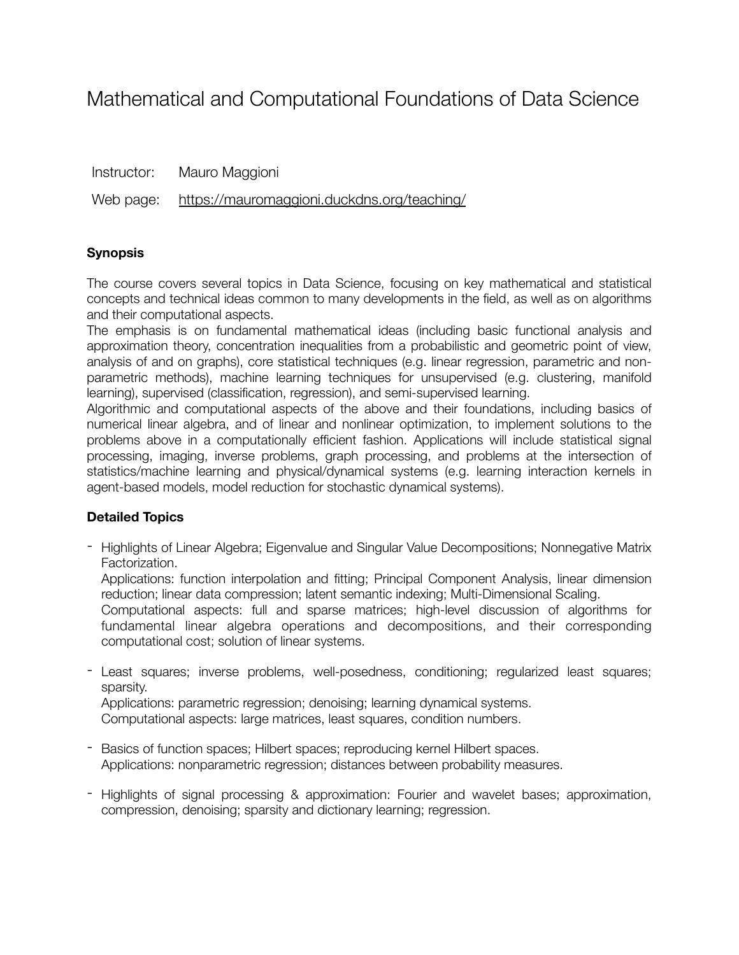# Mathematical and Computational Foundations of Data Science

| Instructor: | Mauro Maggioni                                        |
|-------------|-------------------------------------------------------|
|             | Web page: https://mauromaggioni.duckdns.org/teaching/ |

#### **Synopsis**

The course covers several topics in Data Science, focusing on key mathematical and statistical concepts and technical ideas common to many developments in the field, as well as on algorithms and their computational aspects.

The emphasis is on fundamental mathematical ideas (including basic functional analysis and approximation theory, concentration inequalities from a probabilistic and geometric point of view, analysis of and on graphs), core statistical techniques (e.g. linear regression, parametric and nonparametric methods), machine learning techniques for unsupervised (e.g. clustering, manifold learning), supervised (classification, regression), and semi-supervised learning.

Algorithmic and computational aspects of the above and their foundations, including basics of numerical linear algebra, and of linear and nonlinear optimization, to implement solutions to the problems above in a computationally efficient fashion. Applications will include statistical signal processing, imaging, inverse problems, graph processing, and problems at the intersection of statistics/machine learning and physical/dynamical systems (e.g. learning interaction kernels in agent-based models, model reduction for stochastic dynamical systems).

### **Detailed Topics**

- Highlights of Linear Algebra; Eigenvalue and Singular Value Decompositions; Nonnegative Matrix Factorization.

Applications: function interpolation and fitting; Principal Component Analysis, linear dimension reduction; linear data compression; latent semantic indexing; Multi-Dimensional Scaling.

Computational aspects: full and sparse matrices; high-level discussion of algorithms for fundamental linear algebra operations and decompositions, and their corresponding computational cost; solution of linear systems.

- Least squares; inverse problems, well-posedness, conditioning; regularized least squares; sparsity.

Applications: parametric regression; denoising; learning dynamical systems.

Computational aspects: large matrices, least squares, condition numbers.

- Basics of function spaces; Hilbert spaces; reproducing kernel Hilbert spaces. Applications: nonparametric regression; distances between probability measures.
- Highlights of signal processing & approximation: Fourier and wavelet bases; approximation, compression, denoising; sparsity and dictionary learning; regression.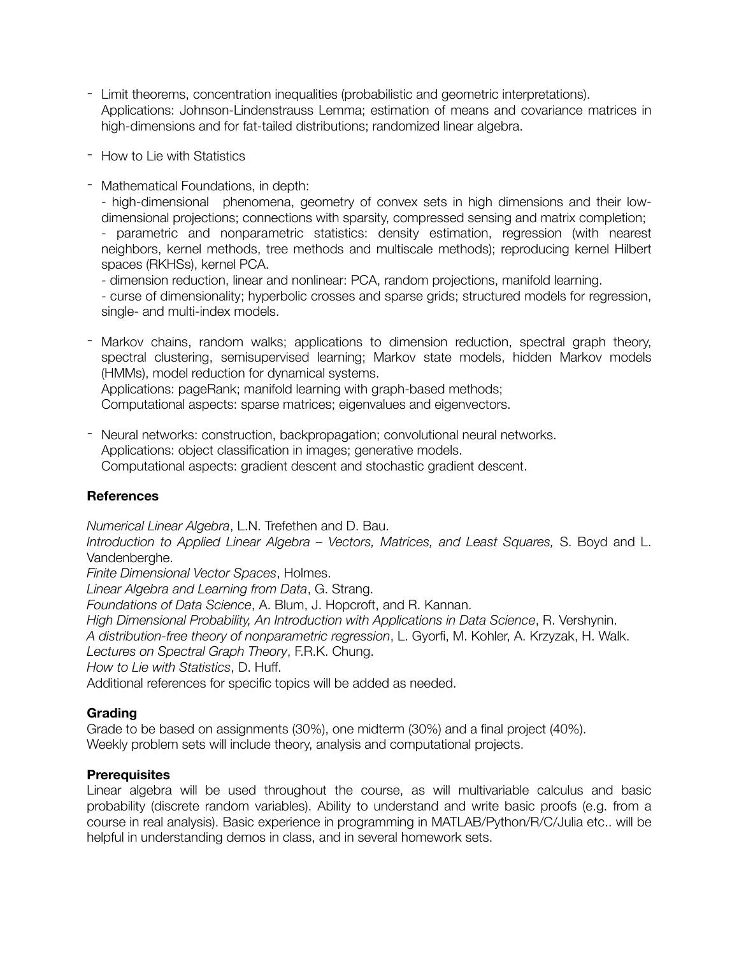- Limit theorems, concentration inequalities (probabilistic and geometric interpretations). Applications: Johnson-Lindenstrauss Lemma; estimation of means and covariance matrices in high-dimensions and for fat-tailed distributions; randomized linear algebra.
- How to Lie with Statistics
- Mathematical Foundations, in depth:

- high-dimensional phenomena, geometry of convex sets in high dimensions and their lowdimensional projections; connections with sparsity, compressed sensing and matrix completion;

- parametric and nonparametric statistics: density estimation, regression (with nearest neighbors, kernel methods, tree methods and multiscale methods); reproducing kernel Hilbert spaces (RKHSs), kernel PCA.

- dimension reduction, linear and nonlinear: PCA, random projections, manifold learning.

- curse of dimensionality; hyperbolic crosses and sparse grids; structured models for regression, single- and multi-index models.

- Markov chains, random walks; applications to dimension reduction, spectral graph theory, spectral clustering, semisupervised learning; Markov state models, hidden Markov models (HMMs), model reduction for dynamical systems. Applications: pageRank; manifold learning with graph-based methods;

Computational aspects: sparse matrices; eigenvalues and eigenvectors.

- Neural networks: construction, backpropagation; convolutional neural networks. Applications: object classification in images; generative models. Computational aspects: gradient descent and stochastic gradient descent.

### **References**

*Numerical Linear Algebra*, L.N. Trefethen and D. Bau. *Introduction to Applied Linear Algebra – Vectors, Matrices, and Least Squares,* S. Boyd and L. Vandenberghe. *Finite Dimensional Vector Spaces*, Holmes. *Linear Algebra and Learning from Data*, G. Strang. *Foundations of Data Science*, A. Blum, J. Hopcroft, and R. Kannan. *High Dimensional Probability, An Introduction with Applications in Data Science*, R. Vershynin. *A distribution-free theory of nonparametric regression*, L. Gyorfi, M. Kohler, A. Krzyzak, H. Walk. *Lectures on Spectral Graph Theory*, F.R.K. Chung. *How to Lie with Statistics*, D. Huff. Additional references for specific topics will be added as needed.

## **Grading**

Grade to be based on assignments (30%), one midterm (30%) and a final project (40%). Weekly problem sets will include theory, analysis and computational projects.

### **Prerequisites**

Linear algebra will be used throughout the course, as will multivariable calculus and basic probability (discrete random variables). Ability to understand and write basic proofs (e.g. from a course in real analysis). Basic experience in programming in MATLAB/Python/R/C/Julia etc.. will be helpful in understanding demos in class, and in several homework sets.